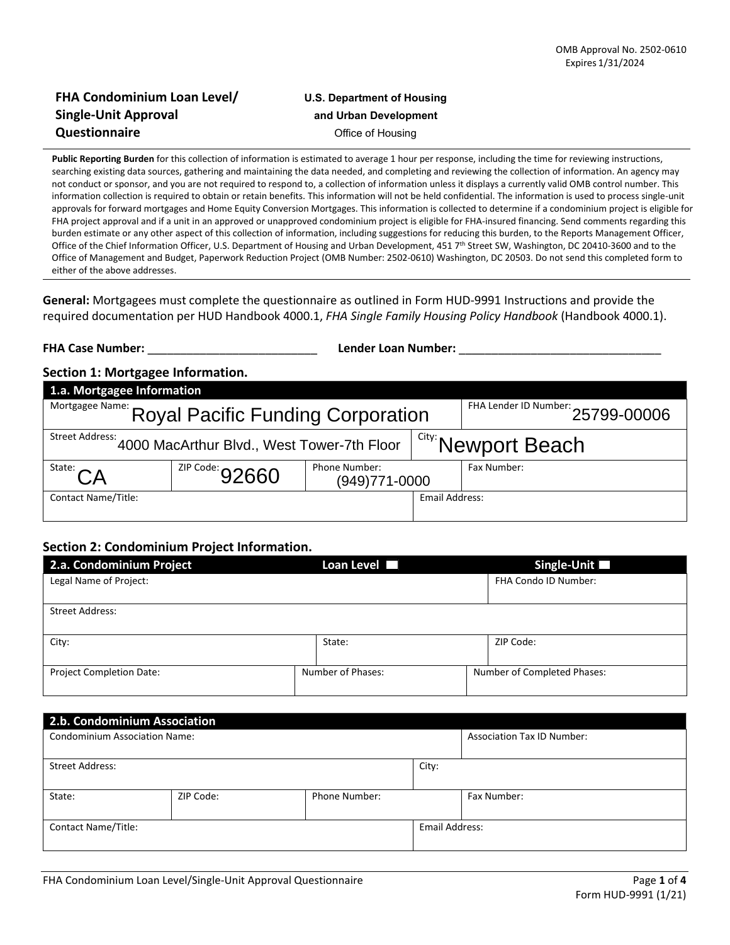## **FHA Condominium Loan Level/ U.S. Department of Housing Single-Unit Approval and Urban Development Questionnaire Office of Housing**

**Public Reporting Burden** for this collection of information is estimated to average 1 hour per response, including the time for reviewing instructions, searching existing data sources, gathering and maintaining the data needed, and completing and reviewing the collection of information. An agency may not conduct or sponsor, and you are not required to respond to, a collection of information unless it displays a currently valid OMB control number. This information collection is required to obtain or retain benefits. This information will not be held confidential. The information is used to process single-unit approvals for forward mortgages and Home Equity Conversion Mortgages. This information is collected to determine if a condominium project is eligible for FHA project approval and if a unit in an approved or unapproved condominium project is eligible for FHA-insured financing. Send comments regarding this burden estimate or any other aspect of this collection of information, including suggestions for reducing this burden, to the Reports Management Officer, Office of the Chief Information Officer, U.S. Department of Housing and Urban Development, 451 7<sup>th</sup> Street SW, Washington, DC 20410-3600 and to the Office of Management and Budget, Paperwork Reduction Project (OMB Number: 2502-0610) Washington, DC 20503. Do not send this completed form to either of the above addresses.

**General:** Mortgagees must complete the questionnaire as outlined in Form HUD-9991 Instructions and provide the required documentation per HUD Handbook 4000.1, *FHA Single Family Housing Policy Handbook* (Handbook 4000.1).

| <b>FHA Case Number:</b>                                                                |                                            | <b>Lender Loan Number:</b>     |                       |                       |  |
|----------------------------------------------------------------------------------------|--------------------------------------------|--------------------------------|-----------------------|-----------------------|--|
| Section 1: Mortgagee Information.                                                      |                                            |                                |                       |                       |  |
| 1.a. Mortgagee Information                                                             |                                            |                                |                       |                       |  |
| FHA Lender ID Number: 25799-00006<br>Mortgagee Name: Royal Pacific Funding Corporation |                                            |                                |                       |                       |  |
| <b>Street Address:</b>                                                                 | 4000 MacArthur Blvd., West Tower-7th Floor |                                |                       | I City: Newport Beach |  |
| State: $\bigcap A$                                                                     | $1^{2IP\text{ Code:}}92660$                | Phone Number:<br>(949)771-0000 |                       | Fax Number:           |  |
| <b>Contact Name/Title:</b>                                                             |                                            |                                | <b>Email Address:</b> |                       |  |

## **Section 2: Condominium Project Information.**

| 2.a. Condominium Project        |        | Loan Level        | Single-Unit                 |
|---------------------------------|--------|-------------------|-----------------------------|
| Legal Name of Project:          |        |                   | FHA Condo ID Number:        |
|                                 |        |                   |                             |
| Street Address:                 |        |                   |                             |
|                                 |        |                   |                             |
| City:                           | State: |                   | ZIP Code:                   |
|                                 |        |                   |                             |
| <b>Project Completion Date:</b> |        | Number of Phases: | Number of Completed Phases: |
|                                 |        |                   |                             |

| 2.b. Condominium Association         |           |               |                |                                   |  |  |
|--------------------------------------|-----------|---------------|----------------|-----------------------------------|--|--|
| <b>Condominium Association Name:</b> |           |               |                | <b>Association Tax ID Number:</b> |  |  |
|                                      |           |               |                |                                   |  |  |
| Street Address:                      |           |               | City:          |                                   |  |  |
|                                      |           |               |                |                                   |  |  |
| State:                               | ZIP Code: | Phone Number: |                | Fax Number:                       |  |  |
|                                      |           |               |                |                                   |  |  |
| <b>Contact Name/Title:</b>           |           |               | Email Address: |                                   |  |  |
|                                      |           |               |                |                                   |  |  |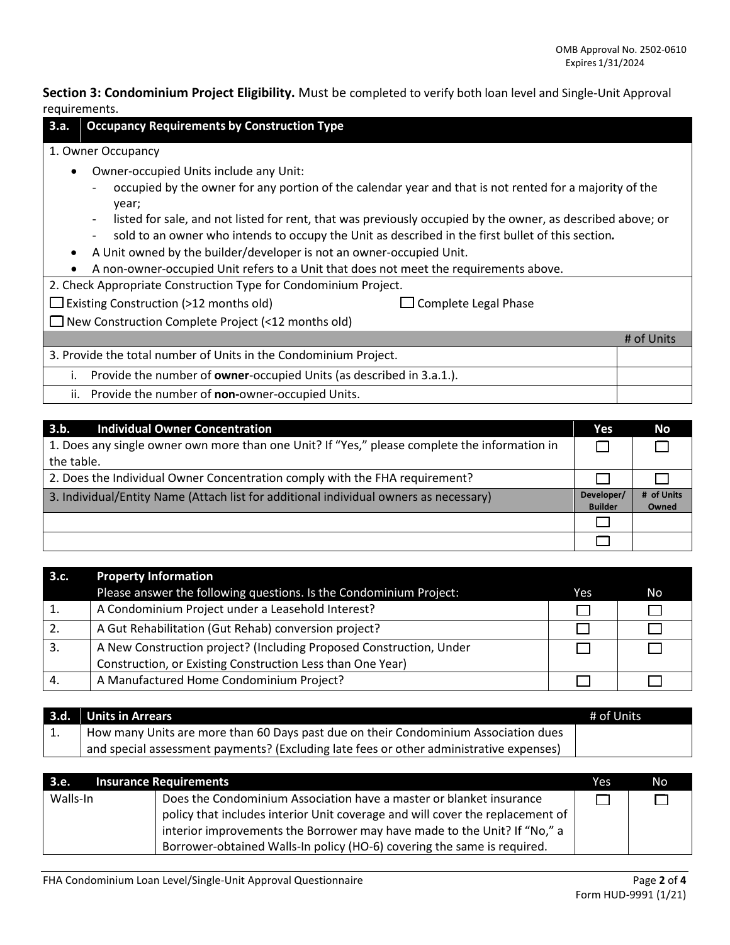**Section 3: Condominium Project Eligibility.** Must be completed to verify both loan level and Single-Unit Approval requirements.

| <b>Occupancy Requirements by Construction Type</b><br>3.a.                                                                                                                                                                                                                                                                                                                                                                                                                                                                                                                                                                                                                                                            |            |  |  |
|-----------------------------------------------------------------------------------------------------------------------------------------------------------------------------------------------------------------------------------------------------------------------------------------------------------------------------------------------------------------------------------------------------------------------------------------------------------------------------------------------------------------------------------------------------------------------------------------------------------------------------------------------------------------------------------------------------------------------|------------|--|--|
| 1. Owner Occupancy                                                                                                                                                                                                                                                                                                                                                                                                                                                                                                                                                                                                                                                                                                    |            |  |  |
| Owner-occupied Units include any Unit:<br>$\bullet$<br>occupied by the owner for any portion of the calendar year and that is not rented for a majority of the<br>year;<br>listed for sale, and not listed for rent, that was previously occupied by the owner, as described above; or<br>sold to an owner who intends to occupy the Unit as described in the first bullet of this section.<br>A Unit owned by the builder/developer is not an owner-occupied Unit.<br>$\bullet$<br>A non-owner-occupied Unit refers to a Unit that does not meet the requirements above.<br>2. Check Appropriate Construction Type for Condominium Project.<br>$\Box$ Existing Construction (>12 months old)<br>Complete Legal Phase |            |  |  |
| $\Box$ New Construction Complete Project (<12 months old)                                                                                                                                                                                                                                                                                                                                                                                                                                                                                                                                                                                                                                                             |            |  |  |
|                                                                                                                                                                                                                                                                                                                                                                                                                                                                                                                                                                                                                                                                                                                       | # of Units |  |  |
| 3. Provide the total number of Units in the Condominium Project.                                                                                                                                                                                                                                                                                                                                                                                                                                                                                                                                                                                                                                                      |            |  |  |
| Provide the number of owner-occupied Units (as described in 3.a.1.).<br>Τ.                                                                                                                                                                                                                                                                                                                                                                                                                                                                                                                                                                                                                                            |            |  |  |
| Provide the number of non-owner-occupied Units.<br>ii.                                                                                                                                                                                                                                                                                                                                                                                                                                                                                                                                                                                                                                                                |            |  |  |
|                                                                                                                                                                                                                                                                                                                                                                                                                                                                                                                                                                                                                                                                                                                       |            |  |  |

| 3.b.<br><b>Individual Owner Concentration</b>                                                 | <b>Yes</b>                   | <b>No</b>           |
|-----------------------------------------------------------------------------------------------|------------------------------|---------------------|
| 1. Does any single owner own more than one Unit? If "Yes," please complete the information in |                              |                     |
| the table.                                                                                    |                              |                     |
| 2. Does the Individual Owner Concentration comply with the FHA requirement?                   |                              |                     |
| 3. Individual/Entity Name (Attach list for additional individual owners as necessary)         | Developer/<br><b>Builder</b> | # of Units<br>Owned |
|                                                                                               |                              |                     |
|                                                                                               |                              |                     |

| 3.c. | <b>Property Information</b>                                         |     |    |
|------|---------------------------------------------------------------------|-----|----|
|      | Please answer the following questions. Is the Condominium Project:  | Yes | No |
|      | A Condominium Project under a Leasehold Interest?                   |     |    |
|      | A Gut Rehabilitation (Gut Rehab) conversion project?                |     |    |
| -3.  | A New Construction project? (Including Proposed Construction, Under |     |    |
|      | Construction, or Existing Construction Less than One Year)          |     |    |
|      | A Manufactured Home Condominium Project?                            |     |    |

| 3.d.     | <b>Units in Arrears</b>                                                                 | # of Units |
|----------|-----------------------------------------------------------------------------------------|------------|
| <b>.</b> | How many Units are more than 60 Days past due on their Condominium Association dues     |            |
|          | and special assessment payments? (Excluding late fees or other administrative expenses) |            |

| 3.e.     | <b>Insurance Requirements</b>                                                 | Yes | N <sub>o</sub> |
|----------|-------------------------------------------------------------------------------|-----|----------------|
| Walls-In | Does the Condominium Association have a master or blanket insurance           |     |                |
|          | policy that includes interior Unit coverage and will cover the replacement of |     |                |
|          | interior improvements the Borrower may have made to the Unit? If "No," a      |     |                |
|          | Borrower-obtained Walls-In policy (HO-6) covering the same is required.       |     |                |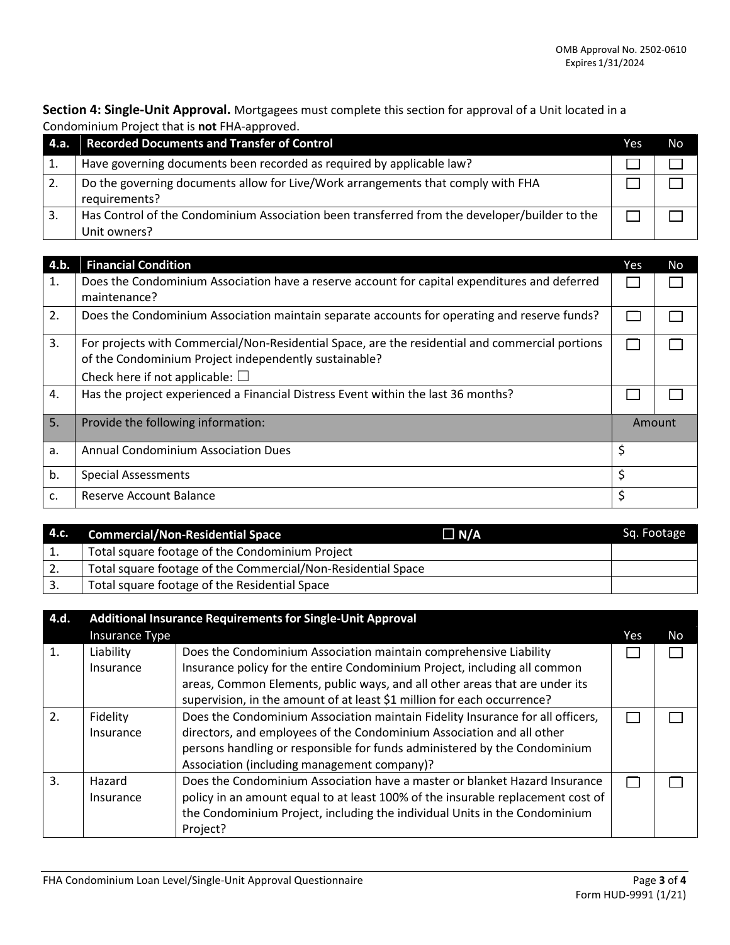**Section 4: Single-Unit Approval.** Mortgagees must complete this section for approval of a Unit located in a Condominium Project that is **not** FHA-approved.

| -4.a. | <b>Recorded Documents and Transfer of Control</b>                                                             | Yes | No |
|-------|---------------------------------------------------------------------------------------------------------------|-----|----|
|       | Have governing documents been recorded as required by applicable law?                                         |     |    |
|       | Do the governing documents allow for Live/Work arrangements that comply with FHA<br>requirements?             |     |    |
| 3.    | Has Control of the Condominium Association been transferred from the developer/builder to the<br>Unit owners? |     |    |

| 4.b. | <b>Financial Condition</b>                                                                                                                                                                          | Yes | <b>No</b> |
|------|-----------------------------------------------------------------------------------------------------------------------------------------------------------------------------------------------------|-----|-----------|
| 1.   | Does the Condominium Association have a reserve account for capital expenditures and deferred<br>maintenance?                                                                                       |     |           |
| 2.   | Does the Condominium Association maintain separate accounts for operating and reserve funds?                                                                                                        |     |           |
| 3.   | For projects with Commercial/Non-Residential Space, are the residential and commercial portions<br>of the Condominium Project independently sustainable?<br>Check here if not applicable: $\square$ |     |           |
| 4.   | Has the project experienced a Financial Distress Event within the last 36 months?                                                                                                                   |     |           |
| 5.   | Provide the following information:                                                                                                                                                                  |     | Amount    |
| a.   | <b>Annual Condominium Association Dues</b>                                                                                                                                                          | \$  |           |
| b.   | <b>Special Assessments</b>                                                                                                                                                                          | \$  |           |
| c.   | Reserve Account Balance                                                                                                                                                                             | \$  |           |

| 4.c. | <b>Commercial/Non-Residential Space</b>                      | $\Box$ N/A | Sq. Footage |
|------|--------------------------------------------------------------|------------|-------------|
| ٠.   | Total square footage of the Condominium Project              |            |             |
| ٠.   | Total square footage of the Commercial/Non-Residential Space |            |             |
|      | Total square footage of the Residential Space                |            |             |

| 4.d. |                        | <b>Additional Insurance Requirements for Single-Unit Approval</b>                                                                                                                                                                                                                                        |     |    |
|------|------------------------|----------------------------------------------------------------------------------------------------------------------------------------------------------------------------------------------------------------------------------------------------------------------------------------------------------|-----|----|
|      | Insurance Type         |                                                                                                                                                                                                                                                                                                          | Yes | No |
| 1.   | Liability<br>Insurance | Does the Condominium Association maintain comprehensive Liability<br>Insurance policy for the entire Condominium Project, including all common<br>areas, Common Elements, public ways, and all other areas that are under its<br>supervision, in the amount of at least \$1 million for each occurrence? |     |    |
| 2.   | Fidelity<br>Insurance  | Does the Condominium Association maintain Fidelity Insurance for all officers,<br>directors, and employees of the Condominium Association and all other<br>persons handling or responsible for funds administered by the Condominium<br>Association (including management company)?                      |     |    |
| 3.   | Hazard<br>Insurance    | Does the Condominium Association have a master or blanket Hazard Insurance<br>policy in an amount equal to at least 100% of the insurable replacement cost of<br>the Condominium Project, including the individual Units in the Condominium<br>Project?                                                  |     |    |